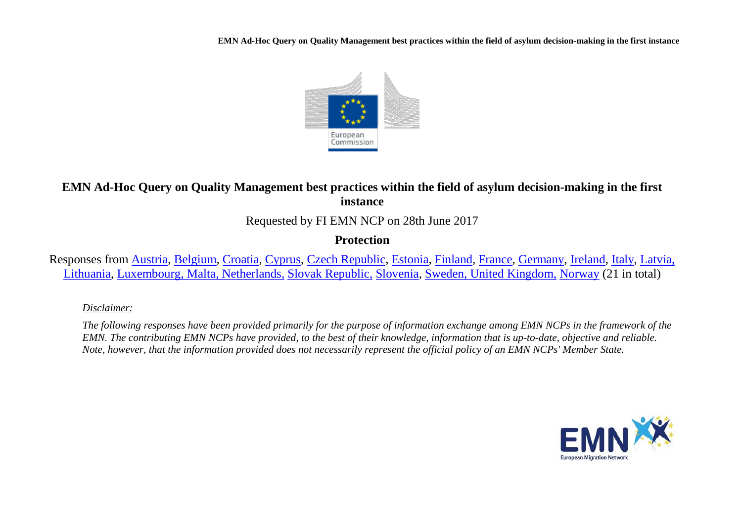

# **EMN Ad-Hoc Query on Quality Management best practices within the field of asylum decision-making in the first instance**

Requested by FI EMN NCP on 28th June 2017

# **Protection**

Responses from [Austria,](#page-8-0) [Belgium,](#page-9-0) [Croatia,](#page-11-0) [Cyprus,](#page-11-1) [Czech Republic,](#page-11-2) [Estonia,](#page-11-3) [Finland,](#page-12-0) [France,](#page-13-0) [Germany,](#page-14-0) [Ireland,](#page-15-0) [Italy,](#page-15-1) [Latvia,](#page-15-2) [Lithuania,](#page-15-3) [Luxembourg, Malta,](#page-16-0) [Netherlands,](#page-17-0) [Slovak Republic,](#page-17-1) [Slovenia,](#page-18-0) [Sweden, United Kingdom,](#page-19-0) [Norway](#page-23-0) (21 in total)

## *Disclaimer:*

*The following responses have been provided primarily for the purpose of information exchange among EMN NCPs in the framework of the EMN. The contributing EMN NCPs have provided, to the best of their knowledge, information that is up-to-date, objective and reliable. Note, however, that the information provided does not necessarily represent the official policy of an EMN NCPs' Member State.*

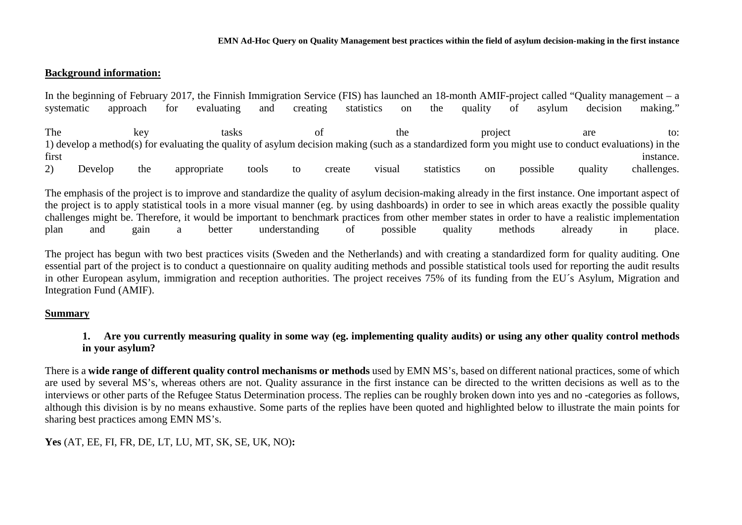## **Background information:**

|            |         |          |             |            |       |          |            |               |            |         |    |          | In the beginning of February 2017, the Finnish Immigration Service (FIS) has launched an 18-month AMIF-project called "Quality management $- a$       |             |
|------------|---------|----------|-------------|------------|-------|----------|------------|---------------|------------|---------|----|----------|-------------------------------------------------------------------------------------------------------------------------------------------------------|-------------|
| systematic |         | approach | for         | evaluating | and   | creating | statistics | <sub>on</sub> | the        | quality | ΟŤ | asylum   | decision                                                                                                                                              | making."    |
|            |         |          |             |            |       |          |            |               |            |         |    |          |                                                                                                                                                       |             |
| The        |         | kev      |             | tasks      |       |          |            | the           |            | project |    |          | are                                                                                                                                                   | to:         |
|            |         |          |             |            |       |          |            |               |            |         |    |          | 1) develop a method(s) for evaluating the quality of asylum decision making (such as a standardized form you might use to conduct evaluations) in the |             |
| first      |         |          |             |            |       |          |            |               |            |         |    |          |                                                                                                                                                       | instance.   |
|            | Develop | the      | appropriate |            | tools | tο       | create     | visual        | statistics | on      |    | possible | quality                                                                                                                                               | challenges. |

The emphasis of the project is to improve and standardize the quality of asylum decision-making already in the first instance. One important aspect of the project is to apply statistical tools in a more visual manner (eg. by using dashboards) in order to see in which areas exactly the possible quality challenges might be. Therefore, it would be important to benchmark practices from other member states in order to have a realistic implementation plan and gain a better understanding of possible quality methods already in place.

The project has begun with two best practices visits (Sweden and the Netherlands) and with creating a standardized form for quality auditing. One essential part of the project is to conduct a questionnaire on quality auditing methods and possible statistical tools used for reporting the audit results in other European asylum, immigration and reception authorities. The project receives 75% of its funding from the EU´s Asylum, Migration and Integration Fund (AMIF).

## **Summary**

## **1. Are you currently measuring quality in some way (eg. implementing quality audits) or using any other quality control methods in your asylum?**

There is a **wide range of different quality control mechanisms or methods** used by EMN MS's, based on different national practices, some of which are used by several MS's, whereas others are not. Quality assurance in the first instance can be directed to the written decisions as well as to the interviews or other parts of the Refugee Status Determination process. The replies can be roughly broken down into yes and no -categories as follows, although this division is by no means exhaustive. Some parts of the replies have been quoted and highlighted below to illustrate the main points for sharing best practices among EMN MS's.

## **Yes** (AT, EE, FI, FR, DE, LT, LU, MT, SK, SE, UK, NO)**:**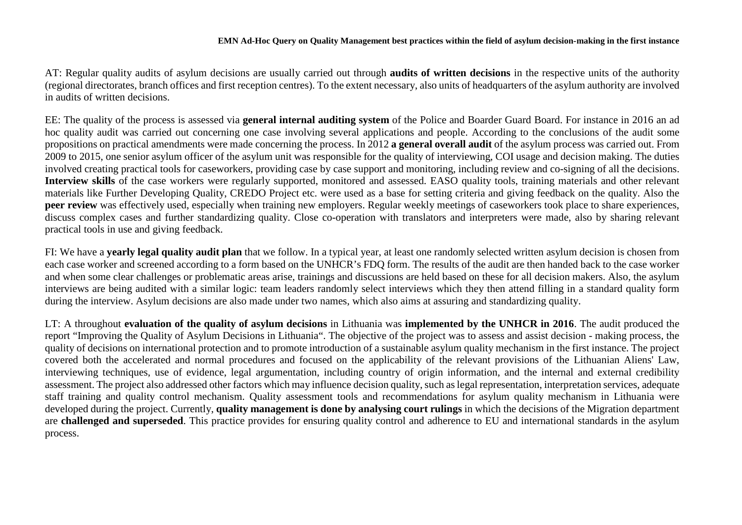AT: Regular quality audits of asylum decisions are usually carried out through **audits of written decisions** in the respective units of the authority (regional directorates, branch offices and first reception centres). To the extent necessary, also units of headquarters of the asylum authority are involved in audits of written decisions.

EE: The quality of the process is assessed via **general internal auditing system** of the Police and Boarder Guard Board. For instance in 2016 an ad hoc quality audit was carried out concerning one case involving several applications and people. According to the conclusions of the audit some propositions on practical amendments were made concerning the process. In 2012 **a general overall audit** of the asylum process was carried out. From 2009 to 2015, one senior asylum officer of the asylum unit was responsible for the quality of interviewing, COI usage and decision making. The duties involved creating practical tools for caseworkers, providing case by case support and monitoring, including review and co-signing of all the decisions. **Interview skills** of the case workers were regularly supported, monitored and assessed. EASO quality tools, training materials and other relevant materials like Further Developing Quality, CREDO Project etc. were used as a base for setting criteria and giving feedback on the quality. Also the **peer review** was effectively used, especially when training new employers. Regular weekly meetings of caseworkers took place to share experiences, discuss complex cases and further standardizing quality. Close co-operation with translators and interpreters were made, also by sharing relevant practical tools in use and giving feedback.

FI: We have a **yearly legal quality audit plan** that we follow. In a typical year, at least one randomly selected written asylum decision is chosen from each case worker and screened according to a form based on the UNHCR's FDQ form. The results of the audit are then handed back to the case worker and when some clear challenges or problematic areas arise, trainings and discussions are held based on these for all decision makers. Also, the asylum interviews are being audited with a similar logic: team leaders randomly select interviews which they then attend filling in a standard quality form during the interview. Asylum decisions are also made under two names, which also aims at assuring and standardizing quality.

LT: A throughout **evaluation of the quality of asylum decisions** in Lithuania was **implemented by the UNHCR in 2016**. The audit produced the report "Improving the Quality of Asylum Decisions in Lithuania". The objective of the project was to assess and assist decision - making process, the quality of decisions on international protection and to promote introduction of a sustainable asylum quality mechanism in the first instance. The project covered both the accelerated and normal procedures and focused on the applicability of the relevant provisions of the Lithuanian Aliens' Law, interviewing techniques, use of evidence, legal argumentation, including country of origin information, and the internal and external credibility assessment. The project also addressed other factors which may influence decision quality, such as legal representation, interpretation services, adequate staff training and quality control mechanism. Quality assessment tools and recommendations for asylum quality mechanism in Lithuania were developed during the project. Currently, **quality management is done by analysing court rulings** in which the decisions of the Migration department are **challenged and superseded**. This practice provides for ensuring quality control and adherence to EU and international standards in the asylum process.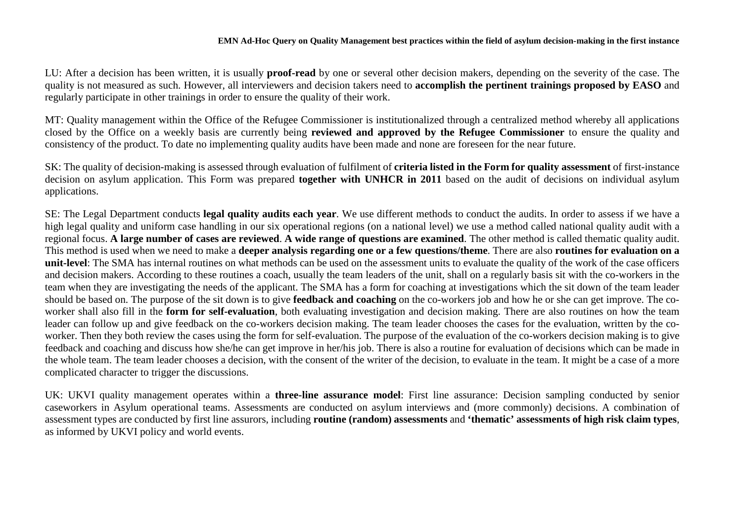LU: After a decision has been written, it is usually **proof-read** by one or several other decision makers, depending on the severity of the case. The quality is not measured as such. However, all interviewers and decision takers need to **accomplish the pertinent trainings proposed by EASO** and regularly participate in other trainings in order to ensure the quality of their work.

MT: Quality management within the Office of the Refugee Commissioner is institutionalized through a centralized method whereby all applications closed by the Office on a weekly basis are currently being **reviewed and approved by the Refugee Commissioner** to ensure the quality and consistency of the product. To date no implementing quality audits have been made and none are foreseen for the near future.

SK: The quality of decision-making is assessed through evaluation of fulfilment of **criteria listed in the Form for quality assessment** of first-instance decision on asylum application. This Form was prepared **together with UNHCR in 2011** based on the audit of decisions on individual asylum applications.

SE: The Legal Department conducts **legal quality audits each year**. We use different methods to conduct the audits. In order to assess if we have a high legal quality and uniform case handling in our six operational regions (on a national level) we use a method called national quality audit with a regional focus. **A large number of cases are reviewed**. **A wide range of questions are examined**. The other method is called thematic quality audit. This method is used when we need to make a **deeper analysis regarding one or a few questions/theme**. There are also **routines for evaluation on a unit-level**: The SMA has internal routines on what methods can be used on the assessment units to evaluate the quality of the work of the case officers and decision makers. According to these routines a coach, usually the team leaders of the unit, shall on a regularly basis sit with the co-workers in the team when they are investigating the needs of the applicant. The SMA has a form for coaching at investigations which the sit down of the team leader should be based on. The purpose of the sit down is to give **feedback and coaching** on the co-workers job and how he or she can get improve. The coworker shall also fill in the **form for self-evaluation**, both evaluating investigation and decision making. There are also routines on how the team leader can follow up and give feedback on the co-workers decision making. The team leader chooses the cases for the evaluation, written by the coworker. Then they both review the cases using the form for self-evaluation. The purpose of the evaluation of the co-workers decision making is to give feedback and coaching and discuss how she/he can get improve in her/his job. There is also a routine for evaluation of decisions which can be made in the whole team. The team leader chooses a decision, with the consent of the writer of the decision, to evaluate in the team. It might be a case of a more complicated character to trigger the discussions.

UK: UKVI quality management operates within a **three-line assurance model**: First line assurance: Decision sampling conducted by senior caseworkers in Asylum operational teams. Assessments are conducted on asylum interviews and (more commonly) decisions. A combination of assessment types are conducted by first line assurors, including **routine (random) assessments** and **'thematic' assessments of high risk claim types**, as informed by UKVI policy and world events.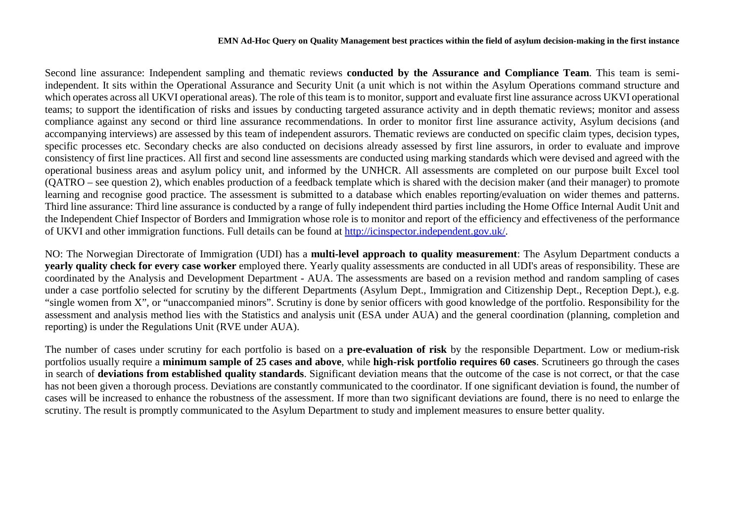Second line assurance: Independent sampling and thematic reviews **conducted by the Assurance and Compliance Team**. This team is semiindependent. It sits within the Operational Assurance and Security Unit (a unit which is not within the Asylum Operations command structure and which operates across all UKVI operational areas). The role of this team is to monitor, support and evaluate first line assurance across UKVI operational teams; to support the identification of risks and issues by conducting targeted assurance activity and in depth thematic reviews; monitor and assess compliance against any second or third line assurance recommendations. In order to monitor first line assurance activity, Asylum decisions (and accompanying interviews) are assessed by this team of independent assurors. Thematic reviews are conducted on specific claim types, decision types, specific processes etc. Secondary checks are also conducted on decisions already assessed by first line assurors, in order to evaluate and improve consistency of first line practices. All first and second line assessments are conducted using marking standards which were devised and agreed with the operational business areas and asylum policy unit, and informed by the UNHCR. All assessments are completed on our purpose built Excel tool (QATRO – see question 2), which enables production of a feedback template which is shared with the decision maker (and their manager) to promote learning and recognise good practice. The assessment is submitted to a database which enables reporting/evaluation on wider themes and patterns. Third line assurance: Third line assurance is conducted by a range of fully independent third parties including the Home Office Internal Audit Unit and the Independent Chief Inspector of Borders and Immigration whose role is to monitor and report of the efficiency and effectiveness of the performance of UKVI and other immigration functions. Full details can be found at [http://icinspector.independent.gov.uk/.](http://icinspector.independent.gov.uk/)

NO: The Norwegian Directorate of Immigration (UDI) has a **multi-level approach to quality measurement**: The Asylum Department conducts a **yearly quality check for every case worker** employed there. Yearly quality assessments are conducted in all UDI's areas of responsibility. These are coordinated by the Analysis and Development Department - AUA. The assessments are based on a revision method and random sampling of cases under a case portfolio selected for scrutiny by the different Departments (Asylum Dept., Immigration and Citizenship Dept., Reception Dept.), e.g. "single women from X", or "unaccompanied minors". Scrutiny is done by senior officers with good knowledge of the portfolio. Responsibility for the assessment and analysis method lies with the Statistics and analysis unit (ESA under AUA) and the general coordination (planning, completion and reporting) is under the Regulations Unit (RVE under AUA).

The number of cases under scrutiny for each portfolio is based on a **pre-evaluation of risk** by the responsible Department. Low or medium-risk portfolios usually require a **minimum sample of 25 cases and above**, while **high-risk portfolio requires 60 cases**. Scrutineers go through the cases in search of **deviations from established quality standards**. Significant deviation means that the outcome of the case is not correct, or that the case has not been given a thorough process. Deviations are constantly communicated to the coordinator. If one significant deviation is found, the number of cases will be increased to enhance the robustness of the assessment. If more than two significant deviations are found, there is no need to enlarge the scrutiny. The result is promptly communicated to the Asylum Department to study and implement measures to ensure better quality.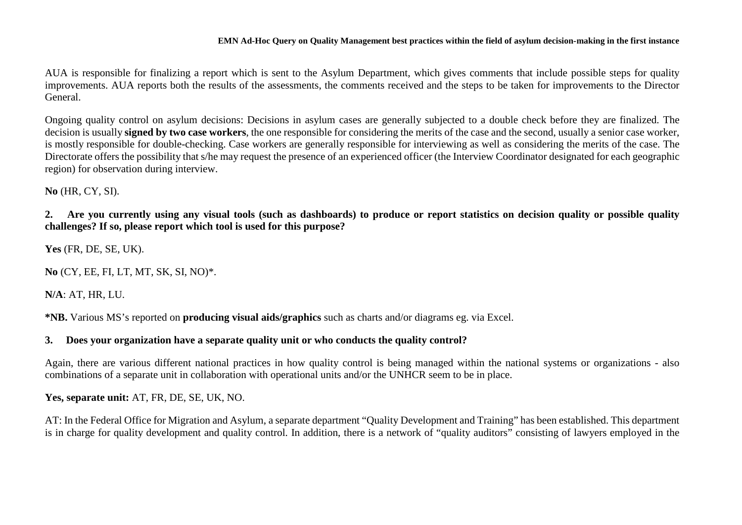AUA is responsible for finalizing a report which is sent to the Asylum Department, which gives comments that include possible steps for quality improvements. AUA reports both the results of the assessments, the comments received and the steps to be taken for improvements to the Director General.

Ongoing quality control on asylum decisions: Decisions in asylum cases are generally subjected to a double check before they are finalized. The decision is usually **signed by two case workers**, the one responsible for considering the merits of the case and the second, usually a senior case worker, is mostly responsible for double-checking. Case workers are generally responsible for interviewing as well as considering the merits of the case. The Directorate offers the possibility that s/he may request the presence of an experienced officer (the Interview Coordinator designated for each geographic region) for observation during interview.

**No** (HR, CY, SI).

**2. Are you currently using any visual tools (such as dashboards) to produce or report statistics on decision quality or possible quality challenges? If so, please report which tool is used for this purpose?**

**Yes** (FR, DE, SE, UK).

**No** (CY, EE, FI, LT, MT, SK, SI, NO)\*.

**N/A**: AT, HR, LU.

**\*NB.** Various MS's reported on **producing visual aids/graphics** such as charts and/or diagrams eg. via Excel.

#### **3. Does your organization have a separate quality unit or who conducts the quality control?**

Again, there are various different national practices in how quality control is being managed within the national systems or organizations - also combinations of a separate unit in collaboration with operational units and/or the UNHCR seem to be in place.

**Yes, separate unit:** AT, FR, DE, SE, UK, NO.

AT: In the Federal Office for Migration and Asylum, a separate department "Quality Development and Training" has been established. This department is in charge for quality development and quality control. In addition, there is a network of "quality auditors" consisting of lawyers employed in the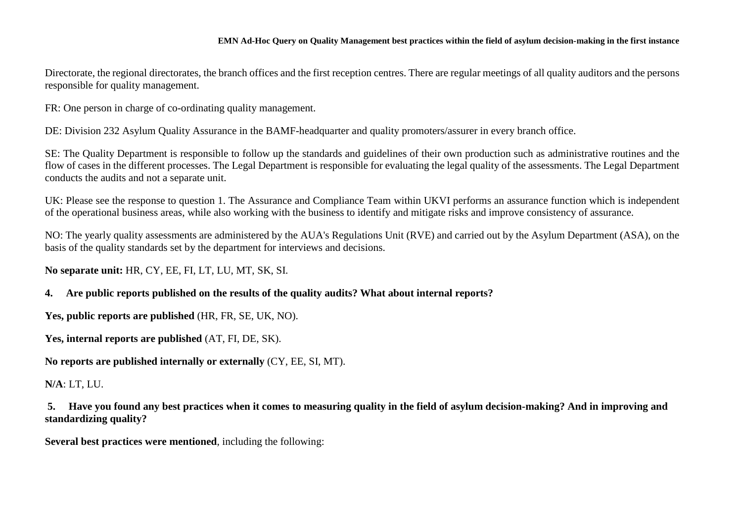Directorate, the regional directorates, the branch offices and the first reception centres. There are regular meetings of all quality auditors and the persons responsible for quality management.

FR: One person in charge of co-ordinating quality management.

DE: Division 232 Asylum Quality Assurance in the BAMF-headquarter and quality promoters/assurer in every branch office.

SE: The Quality Department is responsible to follow up the standards and guidelines of their own production such as administrative routines and the flow of cases in the different processes. The Legal Department is responsible for evaluating the legal quality of the assessments. The Legal Department conducts the audits and not a separate unit.

UK: Please see the response to question 1. The Assurance and Compliance Team within UKVI performs an assurance function which is independent of the operational business areas, while also working with the business to identify and mitigate risks and improve consistency of assurance.

NO: The yearly quality assessments are administered by the AUA's Regulations Unit (RVE) and carried out by the Asylum Department (ASA), on the basis of the quality standards set by the department for interviews and decisions.

**No separate unit:** HR, CY, EE, FI, LT, LU, MT, SK, SI.

#### **4. Are public reports published on the results of the quality audits? What about internal reports?**

**Yes, public reports are published** (HR, FR, SE, UK, NO).

**Yes, internal reports are published** (AT, FI, DE, SK).

**No reports are published internally or externally** (CY, EE, SI, MT).

#### **N/A**: LT, LU.

**5. Have you found any best practices when it comes to measuring quality in the field of asylum decision-making? And in improving and standardizing quality?**

**Several best practices were mentioned**, including the following: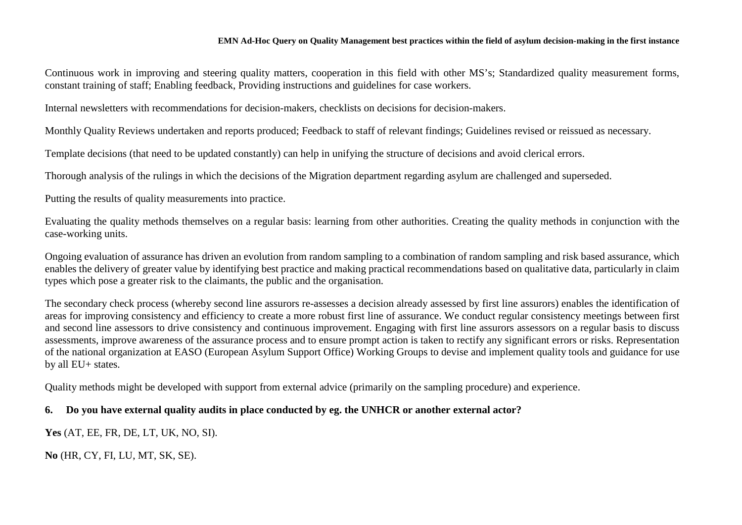Continuous work in improving and steering quality matters, cooperation in this field with other MS's; Standardized quality measurement forms, constant training of staff; Enabling feedback, Providing instructions and guidelines for case workers.

Internal newsletters with recommendations for decision-makers, checklists on decisions for decision-makers.

Monthly Quality Reviews undertaken and reports produced; Feedback to staff of relevant findings; Guidelines revised or reissued as necessary.

Template decisions (that need to be updated constantly) can help in unifying the structure of decisions and avoid clerical errors.

Thorough analysis of the rulings in which the decisions of the Migration department regarding asylum are challenged and superseded.

Putting the results of quality measurements into practice.

Evaluating the quality methods themselves on a regular basis: learning from other authorities. Creating the quality methods in conjunction with the case-working units.

Ongoing evaluation of assurance has driven an evolution from random sampling to a combination of random sampling and risk based assurance, which enables the delivery of greater value by identifying best practice and making practical recommendations based on qualitative data, particularly in claim types which pose a greater risk to the claimants, the public and the organisation.

The secondary check process (whereby second line assurors re-assesses a decision already assessed by first line assurors) enables the identification of areas for improving consistency and efficiency to create a more robust first line of assurance. We conduct regular consistency meetings between first and second line assessors to drive consistency and continuous improvement. Engaging with first line assurors assessors on a regular basis to discuss assessments, improve awareness of the assurance process and to ensure prompt action is taken to rectify any significant errors or risks. Representation of the national organization at EASO (European Asylum Support Office) Working Groups to devise and implement quality tools and guidance for use by all EU+ states.

Quality methods might be developed with support from external advice (primarily on the sampling procedure) and experience.

## **6. Do you have external quality audits in place conducted by eg. the UNHCR or another external actor?**

**Yes** (AT, EE, FR, DE, LT, UK, NO, SI).

**No** (HR, CY, FI, LU, MT, SK, SE).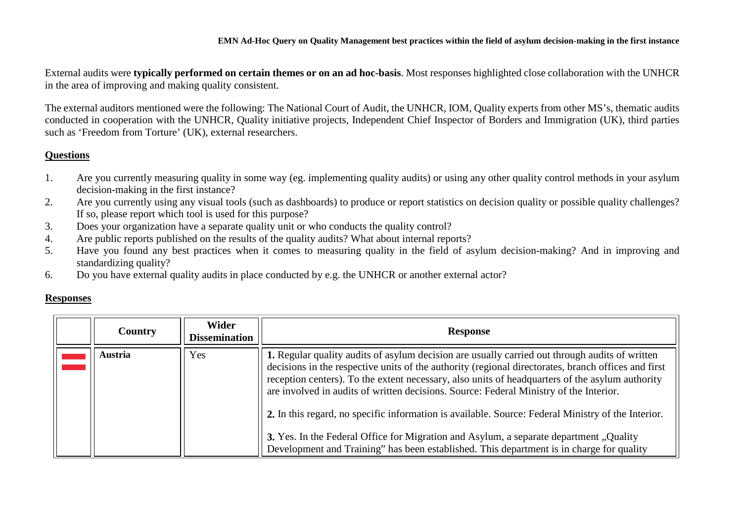External audits were **typically performed on certain themes or on an ad hoc-basis**. Most responses highlighted close collaboration with the UNHCR in the area of improving and making quality consistent.

The external auditors mentioned were the following: The National Court of Audit, the UNHCR, IOM, Quality experts from other MS's, thematic audits conducted in cooperation with the UNHCR, Quality initiative projects, Independent Chief Inspector of Borders and Immigration (UK), third parties such as 'Freedom from Torture' (UK), external researchers.

## **Questions**

- 1. Are you currently measuring quality in some way (eg. implementing quality audits) or using any other quality control methods in your asylum decision-making in the first instance?
- 2. Are you currently using any visual tools (such as dashboards) to produce or report statistics on decision quality or possible quality challenges? If so, please report which tool is used for this purpose?
- 3. Does your organization have a separate quality unit or who conducts the quality control?<br>4. Are public reports published on the results of the quality audits? What about internal repo
- Are public reports published on the results of the quality audits? What about internal reports?
- 5. Have you found any best practices when it comes to measuring quality in the field of asylum decision-making? And in improving and standardizing quality?
- 6. Do you have external quality audits in place conducted by e.g. the UNHCR or another external actor?

## **Responses**

<span id="page-8-0"></span>

| Country | <b>Wider</b><br><b>Dissemination</b> | <b>Response</b>                                                                                                                                                                                                                                                                                                                                                                                                                                                                                                                                                                                                                                                                                |
|---------|--------------------------------------|------------------------------------------------------------------------------------------------------------------------------------------------------------------------------------------------------------------------------------------------------------------------------------------------------------------------------------------------------------------------------------------------------------------------------------------------------------------------------------------------------------------------------------------------------------------------------------------------------------------------------------------------------------------------------------------------|
| Austria | Yes                                  | 1. Regular quality audits of asylum decision are usually carried out through audits of written<br>decisions in the respective units of the authority (regional directorates, branch offices and first<br>reception centers). To the extent necessary, also units of headquarters of the asylum authority<br>are involved in audits of written decisions. Source: Federal Ministry of the Interior.<br>2. In this regard, no specific information is available. Source: Federal Ministry of the Interior.<br>3. Yes. In the Federal Office for Migration and Asylum, a separate department, Quality<br>Development and Training" has been established. This department is in charge for quality |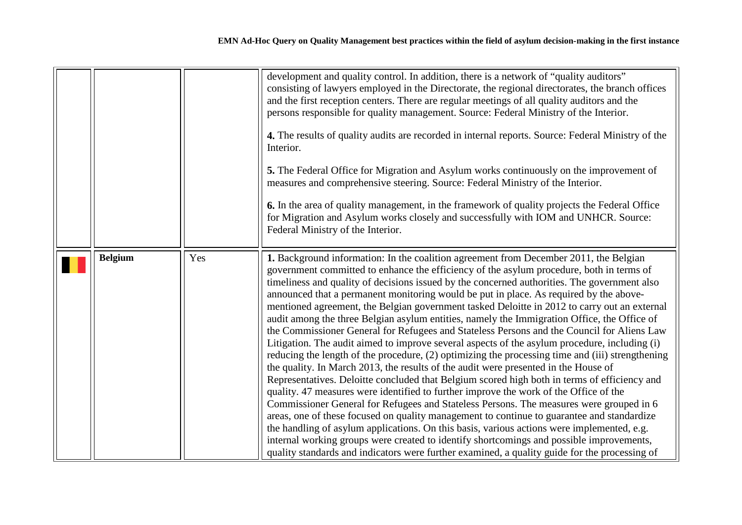<span id="page-9-0"></span>

|                |     | development and quality control. In addition, there is a network of "quality auditors"<br>consisting of lawyers employed in the Directorate, the regional directorates, the branch offices<br>and the first reception centers. There are regular meetings of all quality auditors and the<br>persons responsible for quality management. Source: Federal Ministry of the Interior.<br>4. The results of quality audits are recorded in internal reports. Source: Federal Ministry of the<br>Interior.<br>5. The Federal Office for Migration and Asylum works continuously on the improvement of<br>measures and comprehensive steering. Source: Federal Ministry of the Interior.<br>6. In the area of quality management, in the framework of quality projects the Federal Office<br>for Migration and Asylum works closely and successfully with IOM and UNHCR. Source:<br>Federal Ministry of the Interior.                                                                                                                                                                                                                                                                                                                                                                                                                                                                                                                                                                                                                                                                                                                                   |
|----------------|-----|---------------------------------------------------------------------------------------------------------------------------------------------------------------------------------------------------------------------------------------------------------------------------------------------------------------------------------------------------------------------------------------------------------------------------------------------------------------------------------------------------------------------------------------------------------------------------------------------------------------------------------------------------------------------------------------------------------------------------------------------------------------------------------------------------------------------------------------------------------------------------------------------------------------------------------------------------------------------------------------------------------------------------------------------------------------------------------------------------------------------------------------------------------------------------------------------------------------------------------------------------------------------------------------------------------------------------------------------------------------------------------------------------------------------------------------------------------------------------------------------------------------------------------------------------------------------------------------------------------------------------------------------------|
| <b>Belgium</b> | Yes | 1. Background information: In the coalition agreement from December 2011, the Belgian<br>government committed to enhance the efficiency of the asylum procedure, both in terms of<br>timeliness and quality of decisions issued by the concerned authorities. The government also<br>announced that a permanent monitoring would be put in place. As required by the above-<br>mentioned agreement, the Belgian government tasked Deloitte in 2012 to carry out an external<br>audit among the three Belgian asylum entities, namely the Immigration Office, the Office of<br>the Commissioner General for Refugees and Stateless Persons and the Council for Aliens Law<br>Litigation. The audit aimed to improve several aspects of the asylum procedure, including (i)<br>reducing the length of the procedure, (2) optimizing the processing time and (iii) strengthening<br>the quality. In March 2013, the results of the audit were presented in the House of<br>Representatives. Deloitte concluded that Belgium scored high both in terms of efficiency and<br>quality. 47 measures were identified to further improve the work of the Office of the<br>Commissioner General for Refugees and Stateless Persons. The measures were grouped in 6<br>areas, one of these focused on quality management to continue to guarantee and standardize<br>the handling of asylum applications. On this basis, various actions were implemented, e.g.<br>internal working groups were created to identify shortcomings and possible improvements,<br>quality standards and indicators were further examined, a quality guide for the processing of |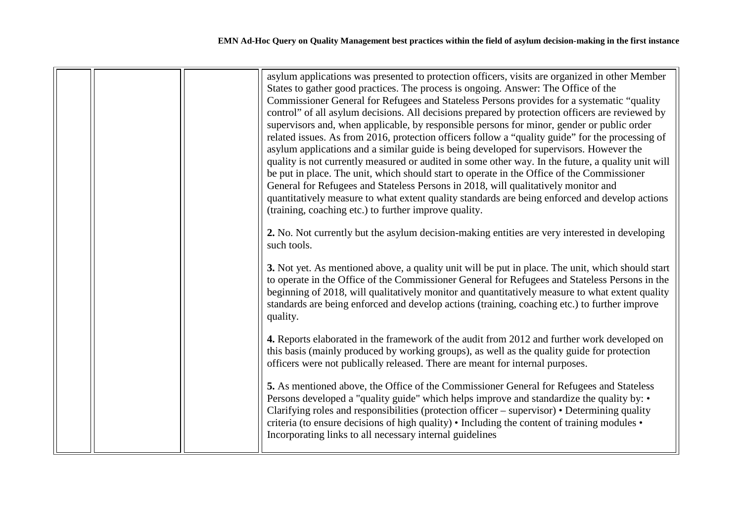|  | asylum applications was presented to protection officers, visits are organized in other Member<br>States to gather good practices. The process is ongoing. Answer: The Office of the<br>Commissioner General for Refugees and Stateless Persons provides for a systematic "quality<br>control" of all asylum decisions. All decisions prepared by protection officers are reviewed by<br>supervisors and, when applicable, by responsible persons for minor, gender or public order<br>related issues. As from 2016, protection officers follow a "quality guide" for the processing of<br>asylum applications and a similar guide is being developed for supervisors. However the<br>quality is not currently measured or audited in some other way. In the future, a quality unit will<br>be put in place. The unit, which should start to operate in the Office of the Commissioner<br>General for Refugees and Stateless Persons in 2018, will qualitatively monitor and<br>quantitatively measure to what extent quality standards are being enforced and develop actions<br>(training, coaching etc.) to further improve quality.<br>2. No. Not currently but the asylum decision-making entities are very interested in developing |
|--|-------------------------------------------------------------------------------------------------------------------------------------------------------------------------------------------------------------------------------------------------------------------------------------------------------------------------------------------------------------------------------------------------------------------------------------------------------------------------------------------------------------------------------------------------------------------------------------------------------------------------------------------------------------------------------------------------------------------------------------------------------------------------------------------------------------------------------------------------------------------------------------------------------------------------------------------------------------------------------------------------------------------------------------------------------------------------------------------------------------------------------------------------------------------------------------------------------------------------------------------|
|  | such tools.<br>3. Not yet. As mentioned above, a quality unit will be put in place. The unit, which should start<br>to operate in the Office of the Commissioner General for Refugees and Stateless Persons in the<br>beginning of 2018, will qualitatively monitor and quantitatively measure to what extent quality<br>standards are being enforced and develop actions (training, coaching etc.) to further improve<br>quality.<br>4. Reports elaborated in the framework of the audit from 2012 and further work developed on<br>this basis (mainly produced by working groups), as well as the quality guide for protection<br>officers were not publically released. There are meant for internal purposes.<br>5. As mentioned above, the Office of the Commissioner General for Refugees and Stateless                                                                                                                                                                                                                                                                                                                                                                                                                             |
|  | Persons developed a "quality guide" which helps improve and standardize the quality by: •<br>Clarifying roles and responsibilities (protection officer – supervisor) • Determining quality<br>criteria (to ensure decisions of high quality) • Including the content of training modules •<br>Incorporating links to all necessary internal guidelines                                                                                                                                                                                                                                                                                                                                                                                                                                                                                                                                                                                                                                                                                                                                                                                                                                                                                    |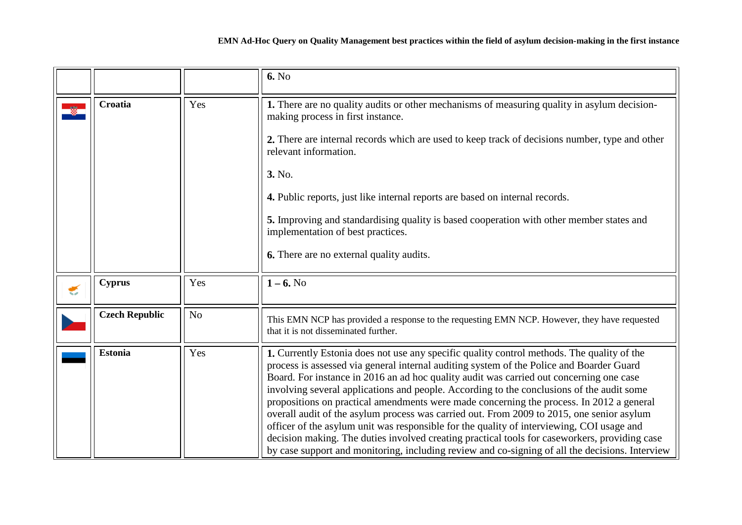<span id="page-11-3"></span><span id="page-11-2"></span><span id="page-11-1"></span><span id="page-11-0"></span>

|   |                       |                | <b>6.</b> No                                                                                                                                                                                                                                                                                                                                                                                                                                                                                                                                                                                                                                                                                                                                                                                                                                                             |
|---|-----------------------|----------------|--------------------------------------------------------------------------------------------------------------------------------------------------------------------------------------------------------------------------------------------------------------------------------------------------------------------------------------------------------------------------------------------------------------------------------------------------------------------------------------------------------------------------------------------------------------------------------------------------------------------------------------------------------------------------------------------------------------------------------------------------------------------------------------------------------------------------------------------------------------------------|
|   | Croatia               | Yes            | 1. There are no quality audits or other mechanisms of measuring quality in asylum decision-<br>making process in first instance.<br>2. There are internal records which are used to keep track of decisions number, type and other<br>relevant information.<br>3. No.<br>4. Public reports, just like internal reports are based on internal records.<br>5. Improving and standardising quality is based cooperation with other member states and<br>implementation of best practices.<br>6. There are no external quality audits.                                                                                                                                                                                                                                                                                                                                       |
| € | <b>Cyprus</b>         | Yes            | $1 - 6.$ No                                                                                                                                                                                                                                                                                                                                                                                                                                                                                                                                                                                                                                                                                                                                                                                                                                                              |
|   | <b>Czech Republic</b> | N <sub>o</sub> | This EMN NCP has provided a response to the requesting EMN NCP. However, they have requested<br>that it is not disseminated further.                                                                                                                                                                                                                                                                                                                                                                                                                                                                                                                                                                                                                                                                                                                                     |
|   | <b>Estonia</b>        | Yes            | 1. Currently Estonia does not use any specific quality control methods. The quality of the<br>process is assessed via general internal auditing system of the Police and Boarder Guard<br>Board. For instance in 2016 an ad hoc quality audit was carried out concerning one case<br>involving several applications and people. According to the conclusions of the audit some<br>propositions on practical amendments were made concerning the process. In 2012 a general<br>overall audit of the asylum process was carried out. From 2009 to 2015, one senior asylum<br>officer of the asylum unit was responsible for the quality of interviewing, COI usage and<br>decision making. The duties involved creating practical tools for caseworkers, providing case<br>by case support and monitoring, including review and co-signing of all the decisions. Interview |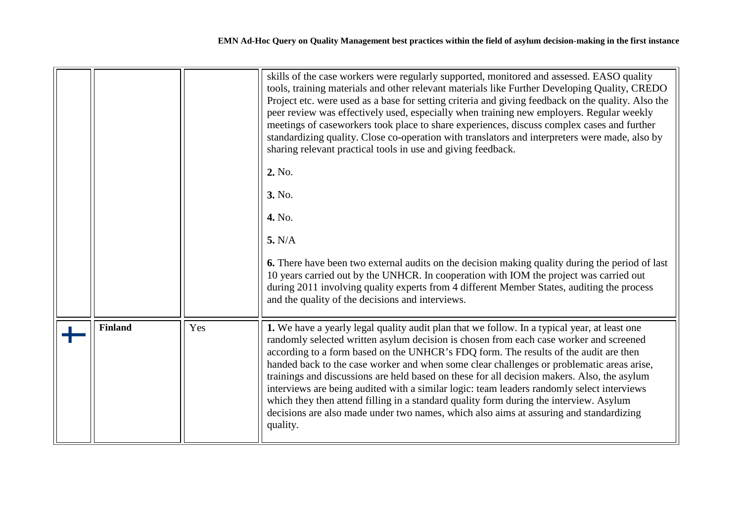<span id="page-12-0"></span>

|                |     | skills of the case workers were regularly supported, monitored and assessed. EASO quality<br>tools, training materials and other relevant materials like Further Developing Quality, CREDO<br>Project etc. were used as a base for setting criteria and giving feedback on the quality. Also the<br>peer review was effectively used, especially when training new employers. Regular weekly<br>meetings of caseworkers took place to share experiences, discuss complex cases and further<br>standardizing quality. Close co-operation with translators and interpreters were made, also by<br>sharing relevant practical tools in use and giving feedback.<br>2. No.                                                                                                   |
|----------------|-----|--------------------------------------------------------------------------------------------------------------------------------------------------------------------------------------------------------------------------------------------------------------------------------------------------------------------------------------------------------------------------------------------------------------------------------------------------------------------------------------------------------------------------------------------------------------------------------------------------------------------------------------------------------------------------------------------------------------------------------------------------------------------------|
|                |     | 3. No.                                                                                                                                                                                                                                                                                                                                                                                                                                                                                                                                                                                                                                                                                                                                                                   |
|                |     | 4. No.                                                                                                                                                                                                                                                                                                                                                                                                                                                                                                                                                                                                                                                                                                                                                                   |
|                |     | 5. N/A                                                                                                                                                                                                                                                                                                                                                                                                                                                                                                                                                                                                                                                                                                                                                                   |
|                |     | <b>6.</b> There have been two external audits on the decision making quality during the period of last<br>10 years carried out by the UNHCR. In cooperation with IOM the project was carried out<br>during 2011 involving quality experts from 4 different Member States, auditing the process<br>and the quality of the decisions and interviews.                                                                                                                                                                                                                                                                                                                                                                                                                       |
| <b>Finland</b> | Yes | 1. We have a yearly legal quality audit plan that we follow. In a typical year, at least one<br>randomly selected written asylum decision is chosen from each case worker and screened<br>according to a form based on the UNHCR's FDQ form. The results of the audit are then<br>handed back to the case worker and when some clear challenges or problematic areas arise,<br>trainings and discussions are held based on these for all decision makers. Also, the asylum<br>interviews are being audited with a similar logic: team leaders randomly select interviews<br>which they then attend filling in a standard quality form during the interview. Asylum<br>decisions are also made under two names, which also aims at assuring and standardizing<br>quality. |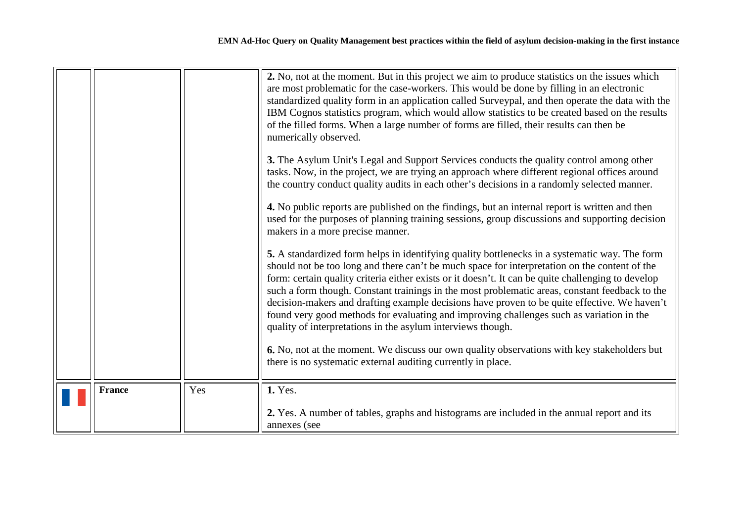<span id="page-13-0"></span>

|               |     | 2. No, not at the moment. But in this project we aim to produce statistics on the issues which<br>are most problematic for the case-workers. This would be done by filling in an electronic<br>standardized quality form in an application called Surveypal, and then operate the data with the<br>IBM Cognos statistics program, which would allow statistics to be created based on the results<br>of the filled forms. When a large number of forms are filled, their results can then be<br>numerically observed.                                                                                                                                             |
|---------------|-----|-------------------------------------------------------------------------------------------------------------------------------------------------------------------------------------------------------------------------------------------------------------------------------------------------------------------------------------------------------------------------------------------------------------------------------------------------------------------------------------------------------------------------------------------------------------------------------------------------------------------------------------------------------------------|
|               |     | 3. The Asylum Unit's Legal and Support Services conducts the quality control among other<br>tasks. Now, in the project, we are trying an approach where different regional offices around<br>the country conduct quality audits in each other's decisions in a randomly selected manner.                                                                                                                                                                                                                                                                                                                                                                          |
|               |     | 4. No public reports are published on the findings, but an internal report is written and then<br>used for the purposes of planning training sessions, group discussions and supporting decision<br>makers in a more precise manner.                                                                                                                                                                                                                                                                                                                                                                                                                              |
|               |     | 5. A standardized form helps in identifying quality bottlenecks in a systematic way. The form<br>should not be too long and there can't be much space for interpretation on the content of the<br>form: certain quality criteria either exists or it doesn't. It can be quite challenging to develop<br>such a form though. Constant trainings in the most problematic areas, constant feedback to the<br>decision-makers and drafting example decisions have proven to be quite effective. We haven't<br>found very good methods for evaluating and improving challenges such as variation in the<br>quality of interpretations in the asylum interviews though. |
|               |     | 6. No, not at the moment. We discuss our own quality observations with key stakeholders but<br>there is no systematic external auditing currently in place.                                                                                                                                                                                                                                                                                                                                                                                                                                                                                                       |
| <b>France</b> | Yes | 1. Yes.<br>2. Yes. A number of tables, graphs and histograms are included in the annual report and its<br>annexes (see                                                                                                                                                                                                                                                                                                                                                                                                                                                                                                                                            |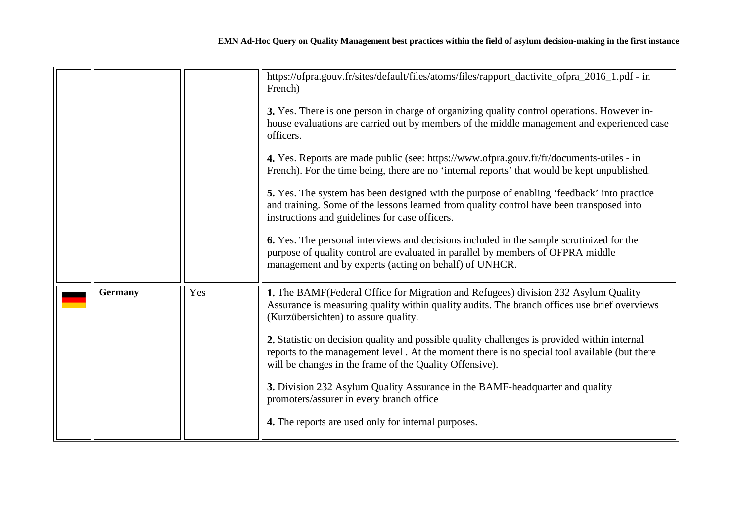<span id="page-14-0"></span>

|                |     | https://ofpra.gouv.fr/sites/default/files/atoms/files/rapport_dactivite_ofpra_2016_1.pdf - in<br>French)                                                                                                                                                |
|----------------|-----|---------------------------------------------------------------------------------------------------------------------------------------------------------------------------------------------------------------------------------------------------------|
|                |     | 3. Yes. There is one person in charge of organizing quality control operations. However in-<br>house evaluations are carried out by members of the middle management and experienced case<br>officers.                                                  |
|                |     | 4. Yes. Reports are made public (see: https://www.ofpra.gouv.fr/fr/documents-utiles - in<br>French). For the time being, there are no 'internal reports' that would be kept unpublished.                                                                |
|                |     | 5. Yes. The system has been designed with the purpose of enabling 'feedback' into practice<br>and training. Some of the lessons learned from quality control have been transposed into<br>instructions and guidelines for case officers.                |
|                |     | 6. Yes. The personal interviews and decisions included in the sample scrutinized for the<br>purpose of quality control are evaluated in parallel by members of OFPRA middle<br>management and by experts (acting on behalf) of UNHCR.                   |
| <b>Germany</b> | Yes | 1. The BAMF (Federal Office for Migration and Refugees) division 232 Asylum Quality<br>Assurance is measuring quality within quality audits. The branch offices use brief overviews<br>(Kurzübersichten) to assure quality.                             |
|                |     | 2. Statistic on decision quality and possible quality challenges is provided within internal<br>reports to the management level. At the moment there is no special tool available (but there<br>will be changes in the frame of the Quality Offensive). |
|                |     | 3. Division 232 Asylum Quality Assurance in the BAMF-headquarter and quality<br>promoters/assurer in every branch office                                                                                                                                |
|                |     | 4. The reports are used only for internal purposes.                                                                                                                                                                                                     |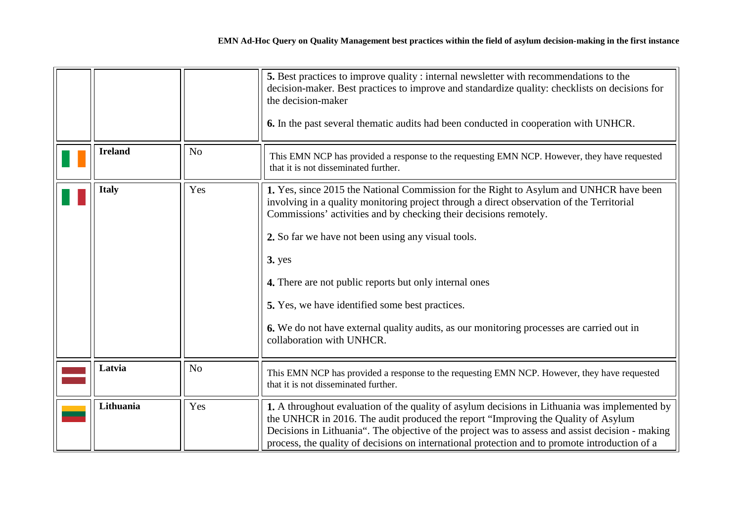<span id="page-15-3"></span><span id="page-15-2"></span><span id="page-15-1"></span><span id="page-15-0"></span>

|                |                | 5. Best practices to improve quality : internal newsletter with recommendations to the<br>decision-maker. Best practices to improve and standardize quality: checklists on decisions for<br>the decision-maker<br>6. In the past several thematic audits had been conducted in cooperation with UNHCR.                                                                                                                                                                                                                                                            |  |
|----------------|----------------|-------------------------------------------------------------------------------------------------------------------------------------------------------------------------------------------------------------------------------------------------------------------------------------------------------------------------------------------------------------------------------------------------------------------------------------------------------------------------------------------------------------------------------------------------------------------|--|
| <b>Ireland</b> | No             | This EMN NCP has provided a response to the requesting EMN NCP. However, they have requested<br>that it is not disseminated further.                                                                                                                                                                                                                                                                                                                                                                                                                              |  |
| <b>Italy</b>   | Yes            | 1. Yes, since 2015 the National Commission for the Right to Asylum and UNHCR have been<br>involving in a quality monitoring project through a direct observation of the Territorial<br>Commissions' activities and by checking their decisions remotely.<br>2. So far we have not been using any visual tools.<br>$3.$ yes<br>4. There are not public reports but only internal ones<br>5. Yes, we have identified some best practices.<br>6. We do not have external quality audits, as our monitoring processes are carried out in<br>collaboration with UNHCR. |  |
| Latvia         | N <sub>o</sub> | This EMN NCP has provided a response to the requesting EMN NCP. However, they have requested<br>that it is not disseminated further.                                                                                                                                                                                                                                                                                                                                                                                                                              |  |
| Lithuania      | Yes            | 1. A throughout evaluation of the quality of asylum decisions in Lithuania was implemented by<br>the UNHCR in 2016. The audit produced the report "Improving the Quality of Asylum<br>Decisions in Lithuania". The objective of the project was to assess and assist decision - making<br>process, the quality of decisions on international protection and to promote introduction of a                                                                                                                                                                          |  |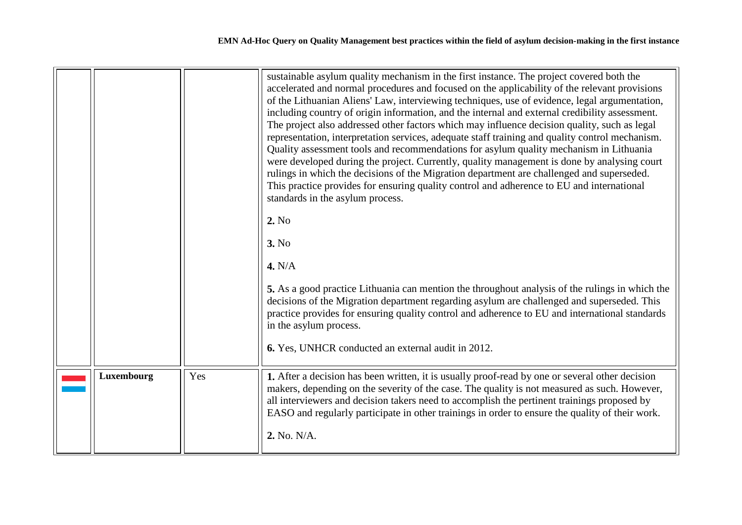<span id="page-16-0"></span>

|            |     | sustainable asylum quality mechanism in the first instance. The project covered both the<br>accelerated and normal procedures and focused on the applicability of the relevant provisions<br>of the Lithuanian Aliens' Law, interviewing techniques, use of evidence, legal argumentation,<br>including country of origin information, and the internal and external credibility assessment.<br>The project also addressed other factors which may influence decision quality, such as legal<br>representation, interpretation services, adequate staff training and quality control mechanism.<br>Quality assessment tools and recommendations for asylum quality mechanism in Lithuania<br>were developed during the project. Currently, quality management is done by analysing court<br>rulings in which the decisions of the Migration department are challenged and superseded.<br>This practice provides for ensuring quality control and adherence to EU and international<br>standards in the asylum process.<br>2. No<br>3. No<br>4. N/A<br>5. As a good practice Lithuania can mention the throughout analysis of the rulings in which the<br>decisions of the Migration department regarding asylum are challenged and superseded. This<br>practice provides for ensuring quality control and adherence to EU and international standards<br>in the asylum process.<br>6. Yes, UNHCR conducted an external audit in 2012. |
|------------|-----|---------------------------------------------------------------------------------------------------------------------------------------------------------------------------------------------------------------------------------------------------------------------------------------------------------------------------------------------------------------------------------------------------------------------------------------------------------------------------------------------------------------------------------------------------------------------------------------------------------------------------------------------------------------------------------------------------------------------------------------------------------------------------------------------------------------------------------------------------------------------------------------------------------------------------------------------------------------------------------------------------------------------------------------------------------------------------------------------------------------------------------------------------------------------------------------------------------------------------------------------------------------------------------------------------------------------------------------------------------------------------------------------------------------------------------------|
| Luxembourg | Yes | 1. After a decision has been written, it is usually proof-read by one or several other decision<br>makers, depending on the severity of the case. The quality is not measured as such. However,<br>all interviewers and decision takers need to accomplish the pertinent trainings proposed by<br>EASO and regularly participate in other trainings in order to ensure the quality of their work.<br>2. No. N/A.                                                                                                                                                                                                                                                                                                                                                                                                                                                                                                                                                                                                                                                                                                                                                                                                                                                                                                                                                                                                                      |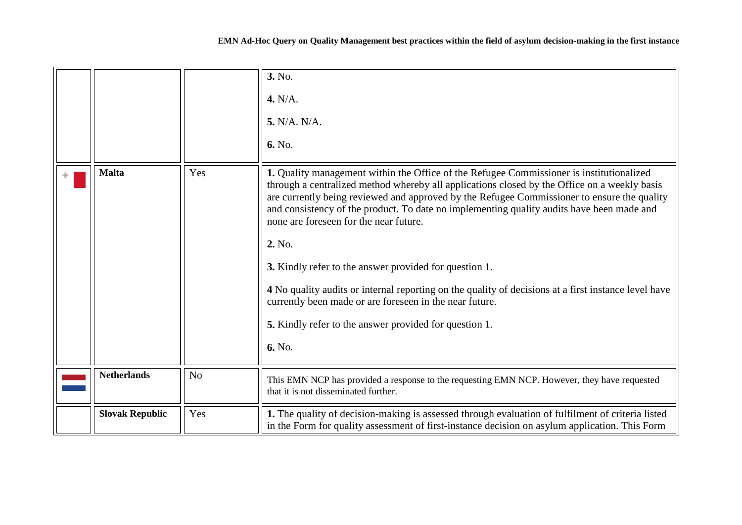|  |  | EMN Ad-Hoc Query on Quality Management best practices within the field of asylum decision-making in the first instance |
|--|--|------------------------------------------------------------------------------------------------------------------------|
|  |  |                                                                                                                        |

<span id="page-17-1"></span><span id="page-17-0"></span>

|                        |                | 3. No.<br>4. N/A.<br>5. N/A. N/A.<br>6. No.                                                                                                                                                                                                                                                                                                                                                                                                                                                                                                                                                                                                                                                                                                             |
|------------------------|----------------|---------------------------------------------------------------------------------------------------------------------------------------------------------------------------------------------------------------------------------------------------------------------------------------------------------------------------------------------------------------------------------------------------------------------------------------------------------------------------------------------------------------------------------------------------------------------------------------------------------------------------------------------------------------------------------------------------------------------------------------------------------|
| <b>Malta</b>           | Yes            | 1. Quality management within the Office of the Refugee Commissioner is institutionalized<br>through a centralized method whereby all applications closed by the Office on a weekly basis<br>are currently being reviewed and approved by the Refugee Commissioner to ensure the quality<br>and consistency of the product. To date no implementing quality audits have been made and<br>none are foreseen for the near future.<br>2. No.<br><b>3.</b> Kindly refer to the answer provided for question 1.<br>4 No quality audits or internal reporting on the quality of decisions at a first instance level have<br>currently been made or are foreseen in the near future.<br><b>5.</b> Kindly refer to the answer provided for question 1.<br>6. No. |
| <b>Netherlands</b>     | N <sub>o</sub> | This EMN NCP has provided a response to the requesting EMN NCP. However, they have requested<br>that it is not disseminated further.                                                                                                                                                                                                                                                                                                                                                                                                                                                                                                                                                                                                                    |
| <b>Slovak Republic</b> | Yes            | 1. The quality of decision-making is assessed through evaluation of fulfilment of criteria listed<br>in the Form for quality assessment of first-instance decision on asylum application. This Form                                                                                                                                                                                                                                                                                                                                                                                                                                                                                                                                                     |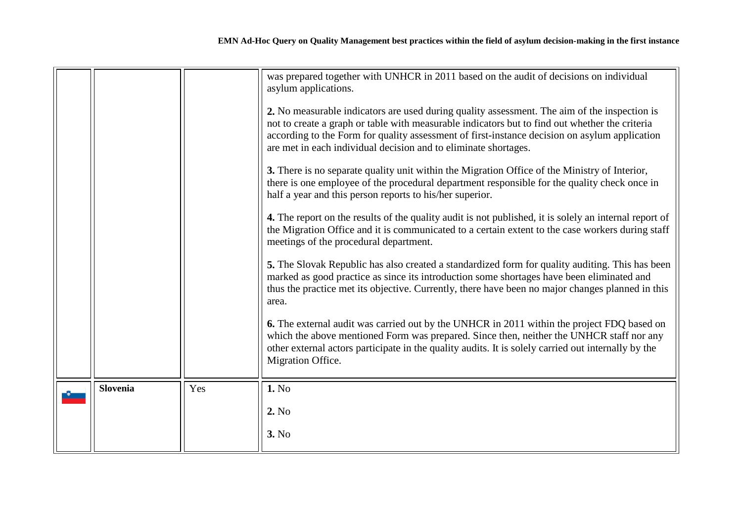<span id="page-18-0"></span>

|                 |     | was prepared together with UNHCR in 2011 based on the audit of decisions on individual<br>asylum applications.                                                                                                                                                                                                                                                     |
|-----------------|-----|--------------------------------------------------------------------------------------------------------------------------------------------------------------------------------------------------------------------------------------------------------------------------------------------------------------------------------------------------------------------|
|                 |     | 2. No measurable indicators are used during quality assessment. The aim of the inspection is<br>not to create a graph or table with measurable indicators but to find out whether the criteria<br>according to the Form for quality assessment of first-instance decision on asylum application<br>are met in each individual decision and to eliminate shortages. |
|                 |     | 3. There is no separate quality unit within the Migration Office of the Ministry of Interior,<br>there is one employee of the procedural department responsible for the quality check once in<br>half a year and this person reports to his/her superior.                                                                                                          |
|                 |     | 4. The report on the results of the quality audit is not published, it is solely an internal report of<br>the Migration Office and it is communicated to a certain extent to the case workers during staff<br>meetings of the procedural department.                                                                                                               |
|                 |     | 5. The Slovak Republic has also created a standardized form for quality auditing. This has been<br>marked as good practice as since its introduction some shortages have been eliminated and<br>thus the practice met its objective. Currently, there have been no major changes planned in this<br>area.                                                          |
|                 |     | 6. The external audit was carried out by the UNHCR in 2011 within the project FDQ based on<br>which the above mentioned Form was prepared. Since then, neither the UNHCR staff nor any<br>other external actors participate in the quality audits. It is solely carried out internally by the<br>Migration Office.                                                 |
| <b>Slovenia</b> | Yes | 1. No                                                                                                                                                                                                                                                                                                                                                              |
|                 |     | 2. No                                                                                                                                                                                                                                                                                                                                                              |
|                 |     | 3. No                                                                                                                                                                                                                                                                                                                                                              |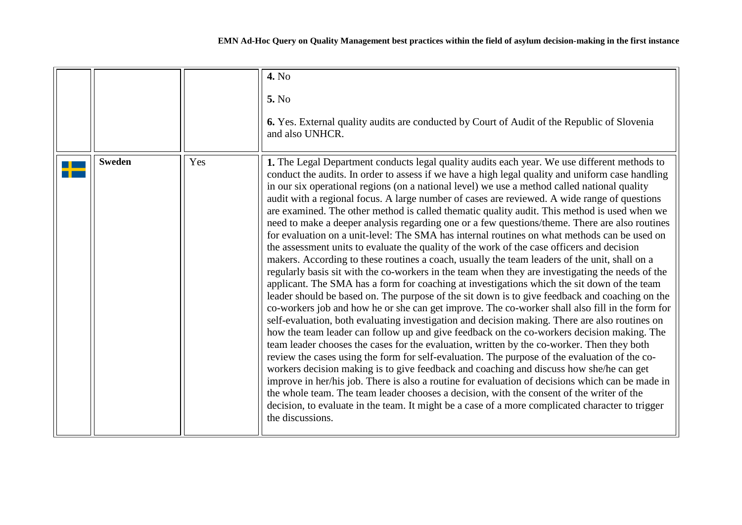<span id="page-19-0"></span>

|               |     | 4. No<br>5. No<br>6. Yes. External quality audits are conducted by Court of Audit of the Republic of Slovenia<br>and also UNHCR.                                                                                                                                                                                                                                                                                                                                                                                                                                                                                                                                                                                                                                                                                                                                                                                                                                                                                                                                                                                                                                                                                                                                                                                                                                                                                                                                                                                                                                                                                                                                                                                                                                                                                                                                                                                                                                                                                                                                                                                             |
|---------------|-----|------------------------------------------------------------------------------------------------------------------------------------------------------------------------------------------------------------------------------------------------------------------------------------------------------------------------------------------------------------------------------------------------------------------------------------------------------------------------------------------------------------------------------------------------------------------------------------------------------------------------------------------------------------------------------------------------------------------------------------------------------------------------------------------------------------------------------------------------------------------------------------------------------------------------------------------------------------------------------------------------------------------------------------------------------------------------------------------------------------------------------------------------------------------------------------------------------------------------------------------------------------------------------------------------------------------------------------------------------------------------------------------------------------------------------------------------------------------------------------------------------------------------------------------------------------------------------------------------------------------------------------------------------------------------------------------------------------------------------------------------------------------------------------------------------------------------------------------------------------------------------------------------------------------------------------------------------------------------------------------------------------------------------------------------------------------------------------------------------------------------------|
| <b>Sweden</b> | Yes | 1. The Legal Department conducts legal quality audits each year. We use different methods to<br>conduct the audits. In order to assess if we have a high legal quality and uniform case handling<br>in our six operational regions (on a national level) we use a method called national quality<br>audit with a regional focus. A large number of cases are reviewed. A wide range of questions<br>are examined. The other method is called thematic quality audit. This method is used when we<br>need to make a deeper analysis regarding one or a few questions/theme. There are also routines<br>for evaluation on a unit-level: The SMA has internal routines on what methods can be used on<br>the assessment units to evaluate the quality of the work of the case officers and decision<br>makers. According to these routines a coach, usually the team leaders of the unit, shall on a<br>regularly basis sit with the co-workers in the team when they are investigating the needs of the<br>applicant. The SMA has a form for coaching at investigations which the sit down of the team<br>leader should be based on. The purpose of the sit down is to give feedback and coaching on the<br>co-workers job and how he or she can get improve. The co-worker shall also fill in the form for<br>self-evaluation, both evaluating investigation and decision making. There are also routines on<br>how the team leader can follow up and give feedback on the co-workers decision making. The<br>team leader chooses the cases for the evaluation, written by the co-worker. Then they both<br>review the cases using the form for self-evaluation. The purpose of the evaluation of the co-<br>workers decision making is to give feedback and coaching and discuss how she/he can get<br>improve in her/his job. There is also a routine for evaluation of decisions which can be made in<br>the whole team. The team leader chooses a decision, with the consent of the writer of the<br>decision, to evaluate in the team. It might be a case of a more complicated character to trigger<br>the discussions. |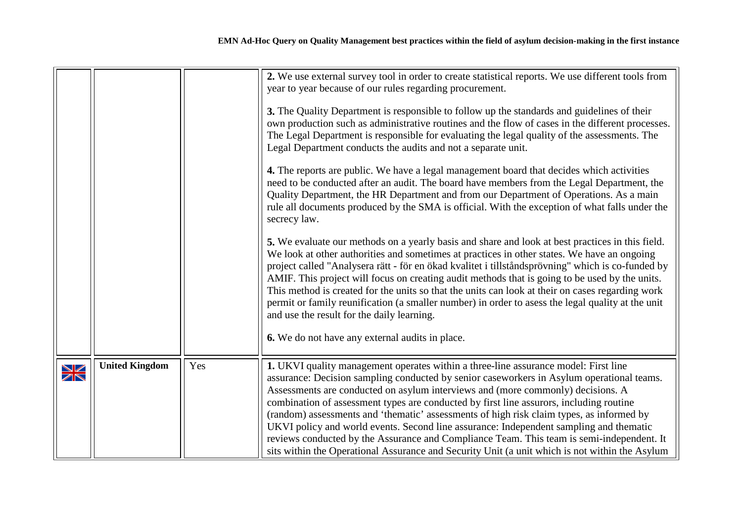|        |                       |     | 2. We use external survey tool in order to create statistical reports. We use different tools from<br>year to year because of our rules regarding procurement.<br>3. The Quality Department is responsible to follow up the standards and guidelines of their<br>own production such as administrative routines and the flow of cases in the different processes.<br>The Legal Department is responsible for evaluating the legal quality of the assessments. The<br>Legal Department conducts the audits and not a separate unit.<br>4. The reports are public. We have a legal management board that decides which activities<br>need to be conducted after an audit. The board have members from the Legal Department, the<br>Quality Department, the HR Department and from our Department of Operations. As a main<br>rule all documents produced by the SMA is official. With the exception of what falls under the<br>secrecy law.<br>5. We evaluate our methods on a yearly basis and share and look at best practices in this field.<br>We look at other authorities and sometimes at practices in other states. We have an ongoing<br>project called "Analysera rätt - för en ökad kvalitet i tillståndsprövning" which is co-funded by<br>AMIF. This project will focus on creating audit methods that is going to be used by the units. |
|--------|-----------------------|-----|-----------------------------------------------------------------------------------------------------------------------------------------------------------------------------------------------------------------------------------------------------------------------------------------------------------------------------------------------------------------------------------------------------------------------------------------------------------------------------------------------------------------------------------------------------------------------------------------------------------------------------------------------------------------------------------------------------------------------------------------------------------------------------------------------------------------------------------------------------------------------------------------------------------------------------------------------------------------------------------------------------------------------------------------------------------------------------------------------------------------------------------------------------------------------------------------------------------------------------------------------------------------------------------------------------------------------------------------------------|
|        |                       |     | This method is created for the units so that the units can look at their on cases regarding work<br>permit or family reunification (a smaller number) in order to asess the legal quality at the unit<br>and use the result for the daily learning.<br>6. We do not have any external audits in place.                                                                                                                                                                                                                                                                                                                                                                                                                                                                                                                                                                                                                                                                                                                                                                                                                                                                                                                                                                                                                                              |
| $\geq$ | <b>United Kingdom</b> | Yes | 1. UKVI quality management operates within a three-line assurance model: First line<br>assurance: Decision sampling conducted by senior caseworkers in Asylum operational teams.<br>Assessments are conducted on asylum interviews and (more commonly) decisions. A<br>combination of assessment types are conducted by first line assurors, including routine<br>(random) assessments and 'thematic' assessments of high risk claim types, as informed by<br>UKVI policy and world events. Second line assurance: Independent sampling and thematic<br>reviews conducted by the Assurance and Compliance Team. This team is semi-independent. It<br>sits within the Operational Assurance and Security Unit (a unit which is not within the Asylum                                                                                                                                                                                                                                                                                                                                                                                                                                                                                                                                                                                                 |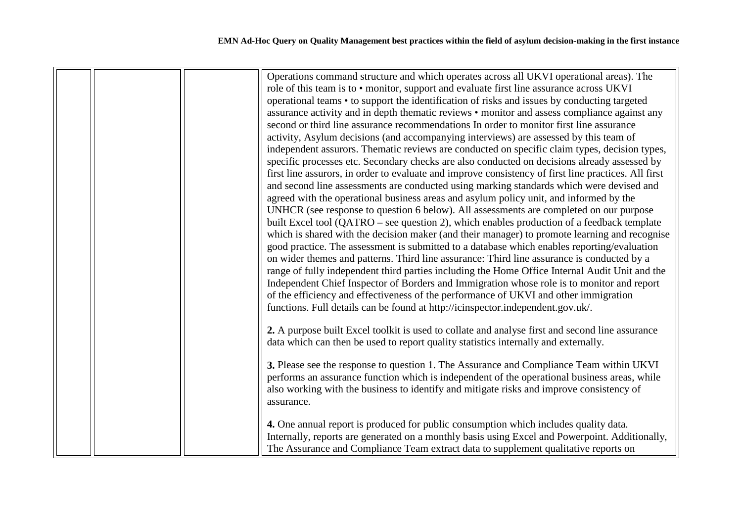|  | Operations command structure and which operates across all UKVI operational areas). The<br>role of this team is to • monitor, support and evaluate first line assurance across UKVI<br>operational teams • to support the identification of risks and issues by conducting targeted<br>assurance activity and in depth thematic reviews • monitor and assess compliance against any<br>second or third line assurance recommendations In order to monitor first line assurance<br>activity, Asylum decisions (and accompanying interviews) are assessed by this team of<br>independent assurors. Thematic reviews are conducted on specific claim types, decision types,<br>specific processes etc. Secondary checks are also conducted on decisions already assessed by<br>first line assurors, in order to evaluate and improve consistency of first line practices. All first<br>and second line assessments are conducted using marking standards which were devised and<br>agreed with the operational business areas and asylum policy unit, and informed by the<br>UNHCR (see response to question 6 below). All assessments are completed on our purpose<br>built Excel tool (QATRO – see question 2), which enables production of a feedback template<br>which is shared with the decision maker (and their manager) to promote learning and recognise<br>good practice. The assessment is submitted to a database which enables reporting/evaluation<br>on wider themes and patterns. Third line assurance: Third line assurance is conducted by a<br>range of fully independent third parties including the Home Office Internal Audit Unit and the<br>Independent Chief Inspector of Borders and Immigration whose role is to monitor and report<br>of the efficiency and effectiveness of the performance of UKVI and other immigration<br>functions. Full details can be found at http://icinspector.independent.gov.uk/.<br>2. A purpose built Excel toolkit is used to collate and analyse first and second line assurance<br>data which can then be used to report quality statistics internally and externally.<br>3. Please see the response to question 1. The Assurance and Compliance Team within UKVI<br>performs an assurance function which is independent of the operational business areas, while<br>also working with the business to identify and mitigate risks and improve consistency of<br>assurance.<br>4. One annual report is produced for public consumption which includes quality data. |
|--|--------------------------------------------------------------------------------------------------------------------------------------------------------------------------------------------------------------------------------------------------------------------------------------------------------------------------------------------------------------------------------------------------------------------------------------------------------------------------------------------------------------------------------------------------------------------------------------------------------------------------------------------------------------------------------------------------------------------------------------------------------------------------------------------------------------------------------------------------------------------------------------------------------------------------------------------------------------------------------------------------------------------------------------------------------------------------------------------------------------------------------------------------------------------------------------------------------------------------------------------------------------------------------------------------------------------------------------------------------------------------------------------------------------------------------------------------------------------------------------------------------------------------------------------------------------------------------------------------------------------------------------------------------------------------------------------------------------------------------------------------------------------------------------------------------------------------------------------------------------------------------------------------------------------------------------------------------------------------------------------------------------------------------------------------------------------------------------------------------------------------------------------------------------------------------------------------------------------------------------------------------------------------------------------------------------------------------------------------------------------------------------------------------------------------------------------------------------------------------------------------------------------------------|
|  | Internally, reports are generated on a monthly basis using Excel and Powerpoint. Additionally,<br>The Assurance and Compliance Team extract data to supplement qualitative reports on                                                                                                                                                                                                                                                                                                                                                                                                                                                                                                                                                                                                                                                                                                                                                                                                                                                                                                                                                                                                                                                                                                                                                                                                                                                                                                                                                                                                                                                                                                                                                                                                                                                                                                                                                                                                                                                                                                                                                                                                                                                                                                                                                                                                                                                                                                                                          |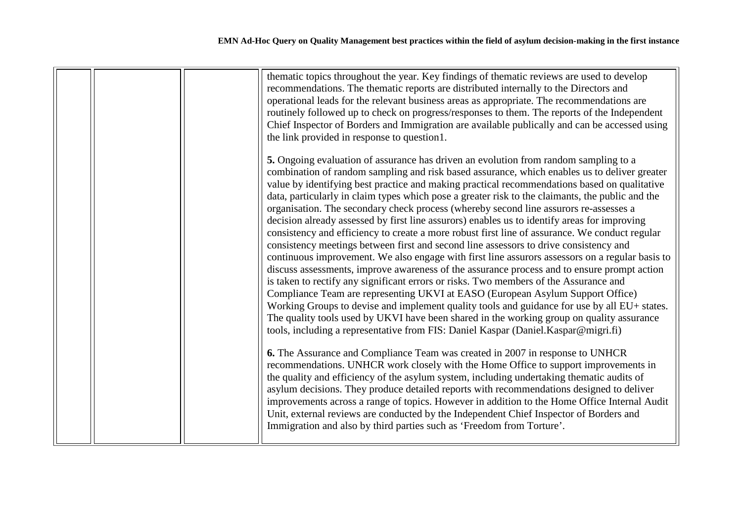|  | thematic topics throughout the year. Key findings of thematic reviews are used to develop        |
|--|--------------------------------------------------------------------------------------------------|
|  | recommendations. The thematic reports are distributed internally to the Directors and            |
|  |                                                                                                  |
|  | operational leads for the relevant business areas as appropriate. The recommendations are        |
|  | routinely followed up to check on progress/responses to them. The reports of the Independent     |
|  | Chief Inspector of Borders and Immigration are available publically and can be accessed using    |
|  | the link provided in response to question1.                                                      |
|  | 5. Ongoing evaluation of assurance has driven an evolution from random sampling to a             |
|  | combination of random sampling and risk based assurance, which enables us to deliver greater     |
|  | value by identifying best practice and making practical recommendations based on qualitative     |
|  | data, particularly in claim types which pose a greater risk to the claimants, the public and the |
|  | organisation. The secondary check process (whereby second line assurors re-assesses a            |
|  | decision already assessed by first line assurors) enables us to identify areas for improving     |
|  | consistency and efficiency to create a more robust first line of assurance. We conduct regular   |
|  | consistency meetings between first and second line assessors to drive consistency and            |
|  | continuous improvement. We also engage with first line assurors assessors on a regular basis to  |
|  | discuss assessments, improve awareness of the assurance process and to ensure prompt action      |
|  | is taken to rectify any significant errors or risks. Two members of the Assurance and            |
|  | Compliance Team are representing UKVI at EASO (European Asylum Support Office)                   |
|  | Working Groups to devise and implement quality tools and guidance for use by all EU+ states.     |
|  |                                                                                                  |
|  | The quality tools used by UKVI have been shared in the working group on quality assurance        |
|  | tools, including a representative from FIS: Daniel Kaspar (Daniel.Kaspar@migri.fi)               |
|  | 6. The Assurance and Compliance Team was created in 2007 in response to UNHCR                    |
|  | recommendations. UNHCR work closely with the Home Office to support improvements in              |
|  | the quality and efficiency of the asylum system, including undertaking thematic audits of        |
|  | asylum decisions. They produce detailed reports with recommendations designed to deliver         |
|  | improvements across a range of topics. However in addition to the Home Office Internal Audit     |
|  | Unit, external reviews are conducted by the Independent Chief Inspector of Borders and           |
|  | Immigration and also by third parties such as 'Freedom from Torture'.                            |
|  |                                                                                                  |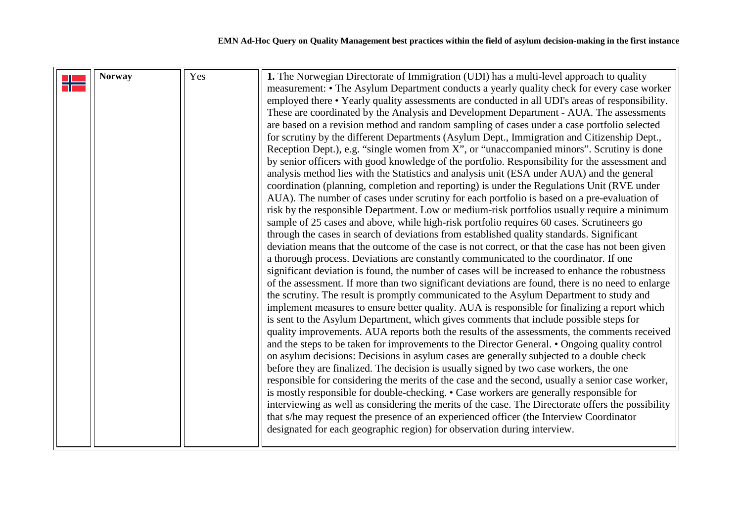<span id="page-23-0"></span>

| <b>Norway</b> | Yes | 1. The Norwegian Directorate of Immigration (UDI) has a multi-level approach to quality<br>measurement: • The Asylum Department conducts a yearly quality check for every case worker |
|---------------|-----|---------------------------------------------------------------------------------------------------------------------------------------------------------------------------------------|
|               |     |                                                                                                                                                                                       |
|               |     | employed there • Yearly quality assessments are conducted in all UDI's areas of responsibility.                                                                                       |
|               |     | These are coordinated by the Analysis and Development Department - AUA. The assessments                                                                                               |
|               |     | are based on a revision method and random sampling of cases under a case portfolio selected                                                                                           |
|               |     | for scrutiny by the different Departments (Asylum Dept., Immigration and Citizenship Dept.,                                                                                           |
|               |     | Reception Dept.), e.g. "single women from X", or "unaccompanied minors". Scrutiny is done                                                                                             |
|               |     | by senior officers with good knowledge of the portfolio. Responsibility for the assessment and                                                                                        |
|               |     | analysis method lies with the Statistics and analysis unit (ESA under AUA) and the general                                                                                            |
|               |     | coordination (planning, completion and reporting) is under the Regulations Unit (RVE under                                                                                            |
|               |     | AUA). The number of cases under scrutiny for each portfolio is based on a pre-evaluation of                                                                                           |
|               |     | risk by the responsible Department. Low or medium-risk portfolios usually require a minimum                                                                                           |
|               |     | sample of 25 cases and above, while high-risk portfolio requires 60 cases. Scrutineers go                                                                                             |
|               |     | through the cases in search of deviations from established quality standards. Significant                                                                                             |
|               |     | deviation means that the outcome of the case is not correct, or that the case has not been given                                                                                      |
|               |     | a thorough process. Deviations are constantly communicated to the coordinator. If one                                                                                                 |
|               |     | significant deviation is found, the number of cases will be increased to enhance the robustness                                                                                       |
|               |     | of the assessment. If more than two significant deviations are found, there is no need to enlarge                                                                                     |
|               |     | the scrutiny. The result is promptly communicated to the Asylum Department to study and                                                                                               |
|               |     | implement measures to ensure better quality. AUA is responsible for finalizing a report which                                                                                         |
|               |     | is sent to the Asylum Department, which gives comments that include possible steps for                                                                                                |
|               |     |                                                                                                                                                                                       |
|               |     | quality improvements. AUA reports both the results of the assessments, the comments received                                                                                          |
|               |     | and the steps to be taken for improvements to the Director General. • Ongoing quality control                                                                                         |
|               |     | on asylum decisions: Decisions in asylum cases are generally subjected to a double check                                                                                              |
|               |     | before they are finalized. The decision is usually signed by two case workers, the one                                                                                                |
|               |     | responsible for considering the merits of the case and the second, usually a senior case worker,                                                                                      |
|               |     | is mostly responsible for double-checking. • Case workers are generally responsible for                                                                                               |
|               |     | interviewing as well as considering the merits of the case. The Directorate offers the possibility                                                                                    |
|               |     | that s/he may request the presence of an experienced officer (the Interview Coordinator                                                                                               |
|               |     | designated for each geographic region) for observation during interview.                                                                                                              |
|               |     |                                                                                                                                                                                       |